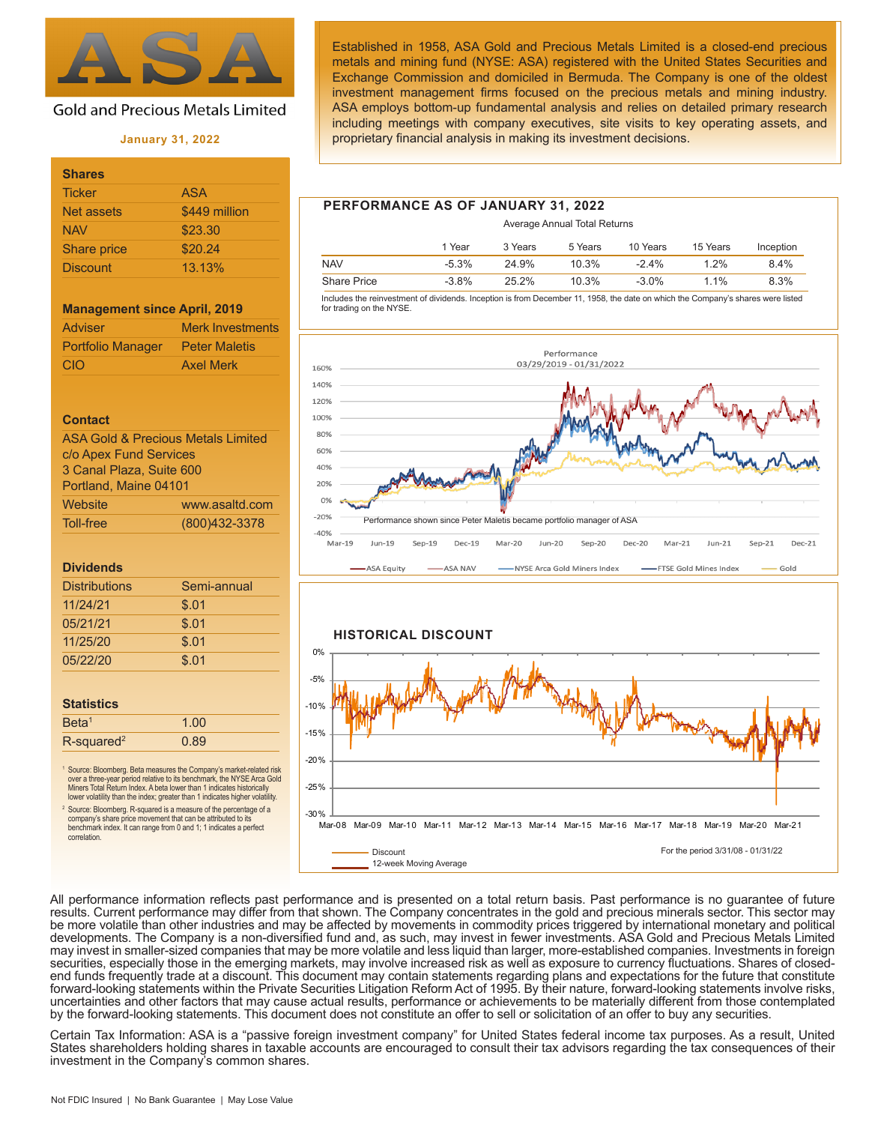

# **Gold and Precious Metals Limited**

#### **January 31, 2022**

| <b>Shares</b>   |               |
|-----------------|---------------|
| <b>Ticker</b>   | <b>ASA</b>    |
| Net assets      | \$449 million |
| <b>NAV</b>      | \$23.30       |
| Share price     | \$20.24       |
| <b>Discount</b> | 13.13%        |

#### **Management since April, 2019**

| <b>Adviser</b>           | <b>Merk Investments</b> |
|--------------------------|-------------------------|
| <b>Portfolio Manager</b> | <b>Peter Maletis</b>    |
| <b>CIO</b>               | <b>Axel Merk</b>        |

#### **Contact**

| <b>ASA Gold &amp; Precious Metals Limited</b> |                  |  |  |
|-----------------------------------------------|------------------|--|--|
| c/o Apex Fund Services                        |                  |  |  |
| 3 Canal Plaza, Suite 600                      |                  |  |  |
| Portland, Maine 04101                         |                  |  |  |
| Website                                       | www.asaltd.com   |  |  |
| Toll-free                                     | (800) 432 - 3378 |  |  |

#### **Dividends**

| <b>Distributions</b> | Semi-annual |
|----------------------|-------------|
| 11/24/21             | \$.01       |
| 05/21/21             | \$.01       |
| 11/25/20             | \$.01       |
| 05/22/20             | \$.01       |
|                      |             |

| <b>Statistics</b>         |      |  |
|---------------------------|------|--|
| Beta <sup>1</sup>         | 1.00 |  |
| $R$ -squared <sup>2</sup> | 0.89 |  |

<sup>1</sup> Source: Bloomberg. Beta measures the Company's market-related risk over a three-year period relative to its benchmark, the NYSE Arca Gold Miners Total Return Index. A beta lower than 1 indicates historically lower volatility than the index; greater than 1 indicates higher volatility.

Source: Bloomberg. R-squared is a measure of the percentage of a company's share price movement that can be attributed to its benchmark index. It can range from 0 and 1; 1 indicates a perfect correlation.

Established in 1958, ASA Gold and Precious Metals Limited is a closed-end precious metals and mining fund (NYSE: ASA) registered with the United States Securities and Exchange Commission and domiciled in Bermuda. The Company is one of the oldest investment management firms focused on the precious metals and mining industry. ASA employs bottom-up fundamental analysis and relies on detailed primary research including meetings with company executives, site visits to key operating assets, and proprietary financial analysis in making its investment decisions.

## **PERFORMANCE AS OF JANUARY 31, 2022**

|                    |         |         | Average Annual Total Returns |          |          |           |
|--------------------|---------|---------|------------------------------|----------|----------|-----------|
|                    | 1 Year  | 3 Years | 5 Years                      | 10 Years | 15 Years | Inception |
| <b>NAV</b>         | $-5.3%$ | 24.9%   | 10.3%                        | $-24%$   | $1.2\%$  | 8.4%      |
| <b>Share Price</b> | $-3.8%$ | 25.2%   | 10.3%                        | $-3.0\%$ | 1 1%     | 8.3%      |

 Includes the reinvestment of dividends. Inception is from December 11, 1958, the date on which the Company's shares were listed for trading on the NYSE.





All performance information reflects past performance and is presented on a total return basis. Past performance is no guarantee of future results. Current performance may differ from that shown. The Company concentrates in the gold and precious minerals sector. This sector may be more volatile than other industries and may be affected by movements in commodity prices triggered by international monetary and political developments. The Company is a non-diversified fund and, as such, may invest in fewer investments. ASA Gold and Precious Metals Limited may invest in smaller-sized companies that may be more volatile and less liquid than larger, more-established companies. Investments in foreign securities, especially those in the emerging markets, may involve increased risk as well as exposure to currency fluctuations. Shares of closedend funds frequently trade at a discount. This document may contain statements regarding plans and expectations for the future that constitute forward-looking statements within the Private Securities Litigation Reform Act of 1995. By their nature, forward-looking statements involve risks, uncertainties and other factors that may cause actual results, performance or achievements to be materially different from those contemplated by the forward-looking statements. This document does not constitute an offer to sell or solicitation of an offer to buy any securities.

Certain Tax Information: ASA is a "passive foreign investment company" for United States federal income tax purposes. As a result, United States shareholders holding shares in taxable accounts are encouraged to consult their tax advisors regarding the tax consequences of their investment in the Company's common shares.